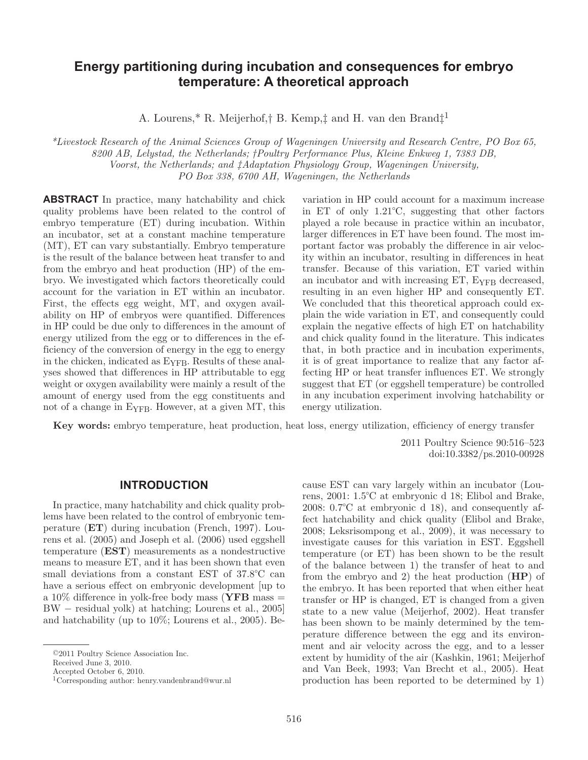# **Energy partitioning during incubation and consequences for embryo temperature: A theoretical approach**

A. Lourens,\* R. Meijerhof,† B. Kemp,‡ and H. van den Brand $\ddagger$ <sup>1</sup>

 *\* Livestock Research of the Animal Sciences Group of Wageningen University and Research Centre, PO Box 65, 8200 AB, Lelystad, the Netherlands; † Poultry Performance Plus, Kleine Enkweg 1, 7383 DB, Voorst, the Netherlands; and ‡ Adaptation Physiology Group, Wageningen University, PO Box 338, 6700 AH, Wageningen, the Netherlands* 

 **ABSTRACT** In practice, many hatchability and chick quality problems have been related to the control of embryo temperature (ET) during incubation. Within an incubator, set at a constant machine temperature (MT), ET can vary substantially. Embryo temperature is the result of the balance between heat transfer to and from the embryo and heat production (HP) of the embryo. We investigated which factors theoretically could account for the variation in ET within an incubator. First, the effects egg weight, MT, and oxygen availability on HP of embryos were quantified. Differences in HP could be due only to differences in the amount of energy utilized from the egg or to differences in the efficiency of the conversion of energy in the egg to energy in the chicken, indicated as  $E_{YFB}$ . Results of these analyses showed that differences in HP attributable to egg weight or oxygen availability were mainly a result of the amount of energy used from the egg constituents and not of a change in E<sub>YFB</sub>. However, at a given MT, this variation in HP could account for a maximum increase in ET of only 1.21°C, suggesting that other factors played a role because in practice within an incubator, larger differences in ET have been found. The most important factor was probably the difference in air velocity within an incubator, resulting in differences in heat transfer. Because of this variation, ET varied within an incubator and with increasing ET, E<sub>YFB</sub> decreased, resulting in an even higher HP and consequently ET. We concluded that this theoretical approach could explain the wide variation in ET, and consequently could explain the negative effects of high ET on hatchability and chick quality found in the literature. This indicates that, in both practice and in incubation experiments, it is of great importance to realize that any factor affecting HP or heat transfer influences ET. We strongly suggest that ET (or eggshell temperature) be controlled in any incubation experiment involving hatchability or energy utilization.

**Key words:** embryo temperature, heat production, heat loss, energy utilization, efficiency of energy transfer

 2011 Poultry Science 90 :516–523 doi: 10.3382/ps.2010-00928

### **INTRODUCTION**

 In practice, many hatchability and chick quality problems have been related to the control of embryonic temperature (**ET**) during incubation (French, 1997). Lourens et al. (2005) and Joseph et al. (2006) used eggshell temperature (**EST**) measurements as a nondestructive means to measure ET, and it has been shown that even small deviations from a constant EST of 37.8°C can have a serious effect on embryonic development [up to a 10% difference in yolk-free body mass (**YFB** mass = BW – residual yolk) at hatching; Lourens et al., 2005] and hatchability (up to 10%; Lourens et al., 2005). Because EST can vary largely within an incubator (Lourens, 2001: 1.5°C at embryonic d 18; Elibol and Brake, 2008: 0.7°C at embryonic d 18), and consequently affect hatchability and chick quality (Elibol and Brake, 2008; Leksrisompong et al., 2009), it was necessary to investigate causes for this variation in EST. Eggshell temperature (or ET) has been shown to be the result of the balance between 1) the transfer of heat to and from the embryo and 2) the heat production (**HP**) of the embryo. It has been reported that when either heat transfer or HP is changed, ET is changed from a given state to a new value (Meijerhof, 2002). Heat transfer has been shown to be mainly determined by the temperature difference between the egg and its environment and air velocity across the egg, and to a lesser extent by humidity of the air (Kashkin, 1961; Meijerhof and Van Beek, 1993; Van Brecht et al., 2005). Heat production has been reported to be determined by 1)

<sup>© 2011</sup> Poultry Science Association Inc.

Received June 3, 2010.

Accepted October 6, 2010.

 $^1$  Corresponding author: henry.vandenbrand@wur.nl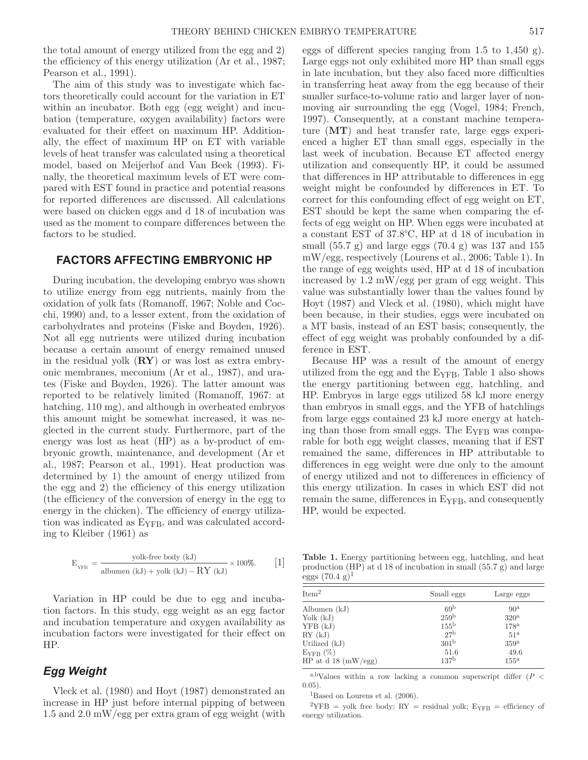the total amount of energy utilized from the egg and 2) the efficiency of this energy utilization (Ar et al., 1987; Pearson et al., 1991).

The aim of this study was to investigate which factors theoretically could account for the variation in ET within an incubator. Both egg (egg weight) and incubation (temperature, oxygen availability) factors were evaluated for their effect on maximum HP. Additionally, the effect of maximum HP on ET with variable levels of heat transfer was calculated using a theoretical model, based on Meijerhof and Van Beek (1993). Finally, the theoretical maximum levels of ET were compared with EST found in practice and potential reasons for reported differences are discussed. All calculations were based on chicken eggs and d 18 of incubation was used as the moment to compare differences between the factors to be studied.

## **FACTORS AFFECTING EMBRYONIC HP**

During incubation, the developing embryo was shown to utilize energy from egg nutrients, mainly from the oxidation of yolk fats (Romanoff, 1967; Noble and Cocchi, 1990) and, to a lesser extent, from the oxidation of carbohydrates and proteins (Fiske and Boyden, 1926). Not all egg nutrients were utilized during incubation because a certain amount of energy remained unused in the residual yolk (**RY**) or was lost as extra embryonic membranes, meconium (Ar et al., 1987), and urates (Fiske and Boyden, 1926). The latter amount was reported to be relatively limited (Romanoff, 1967: at hatching, 110 mg), and although in overheated embryos this amount might be somewhat increased, it was neglected in the current study. Furthermore, part of the energy was lost as heat (HP) as a by-product of embryonic growth, maintenance, and development (Ar et al., 1987; Pearson et al., 1991). Heat production was determined by 1) the amount of energy utilized from the egg and 2) the efficiency of this energy utilization (the efficiency of the conversion of energy in the egg to energy in the chicken). The efficiency of energy utilization was indicated as EYFB, and was calculated according to Kleiber (1961) as

$$
E_{YFB} = \frac{yolk-free body (kJ)}{albumen (kJ) + yolk (kJ) - RY (kJ)} \times 100\%.
$$
 [1]

Variation in HP could be due to egg and incubation factors. In this study, egg weight as an egg factor and incubation temperature and oxygen availability as incubation factors were investigated for their effect on HP.

#### *Egg Weight*

Vleck et al. (1980) and Hoyt (1987) demonstrated an increase in HP just before internal pipping of between 1.5 and 2.0 mW/egg per extra gram of egg weight (with eggs of different species ranging from 1.5 to 1,450 g). Large eggs not only exhibited more HP than small eggs in late incubation, but they also faced more difficulties in transferring heat away from the egg because of their smaller surface-to-volume ratio and larger layer of nonmoving air surrounding the egg (Vogel, 1984; French, 1997). Consequently, at a constant machine temperature (**MT**) and heat transfer rate, large eggs experienced a higher ET than small eggs, especially in the last week of incubation. Because ET affected energy utilization and consequently HP, it could be assumed that differences in HP attributable to differences in egg weight might be confounded by differences in ET. To correct for this confounding effect of egg weight on ET, EST should be kept the same when comparing the effects of egg weight on HP. When eggs were incubated at a constant EST of 37.8°C, HP at d 18 of incubation in small (55.7 g) and large eggs (70.4 g) was 137 and 155 mW/egg, respectively (Lourens et al., 2006; Table 1). In the range of egg weights used, HP at d 18 of incubation increased by 1.2 mW/egg per gram of egg weight. This value was substantially lower than the values found by Hoyt (1987) and Vleck et al. (1980), which might have been because, in their studies, eggs were incubated on a MT basis, instead of an EST basis; consequently, the effect of egg weight was probably confounded by a difference in EST.

Because HP was a result of the amount of energy utilized from the egg and the EYFB, Table 1 also shows the energy partitioning between egg, hatchling, and HP. Embryos in large eggs utilized 58 kJ more energy than embryos in small eggs, and the YFB of hatchlings from large eggs contained 23 kJ more energy at hatching than those from small eggs. The E<sub>YFB</sub> was comparable for both egg weight classes, meaning that if EST remained the same, differences in HP attributable to differences in egg weight were due only to the amount of energy utilized and not to differences in efficiency of this energy utilization. In cases in which EST did not remain the same, differences in E<sub>YFB</sub>, and consequently HP, would be expected.

**Table 1.** Energy partitioning between egg, hatchling, and heat production (HP) at d 18 of incubation in small (55.7 g) and large eggs  $(70.4 \text{ g})^1$ 

| Item <sup>2</sup>     | Small eggs       | Large eggs       |  |  |
|-----------------------|------------------|------------------|--|--|
| Albumen (kJ)          | 69 <sup>b</sup>  | 90 <sup>a</sup>  |  |  |
| Yolk $(kJ)$           | 259 <sup>b</sup> | 320 <sup>a</sup> |  |  |
| $YFB$ $(kJ)$          | 155 <sup>b</sup> | $178^{\rm a}$    |  |  |
| RY(kJ)                | 27 <sup>b</sup>  | 51 <sup>a</sup>  |  |  |
| Utilized $(kJ)$       | 301 <sup>b</sup> | 359 <sup>a</sup> |  |  |
| $E_{YFB} (\%)$        | 51.6             | 49.6             |  |  |
| HP at $d$ 18 (mW/egg) | 137 <sup>b</sup> | $155^{\rm a}$    |  |  |

a,bValues within a row lacking a common superscript differ  $(P \lt C)$ 0.05).

<sup>1</sup>Based on Lourens et al. (2006).

 ${}^{2}\text{YFB}$  = yolk free body; RY = residual yolk; E<sub>YFB</sub> = efficiency of energy utilization.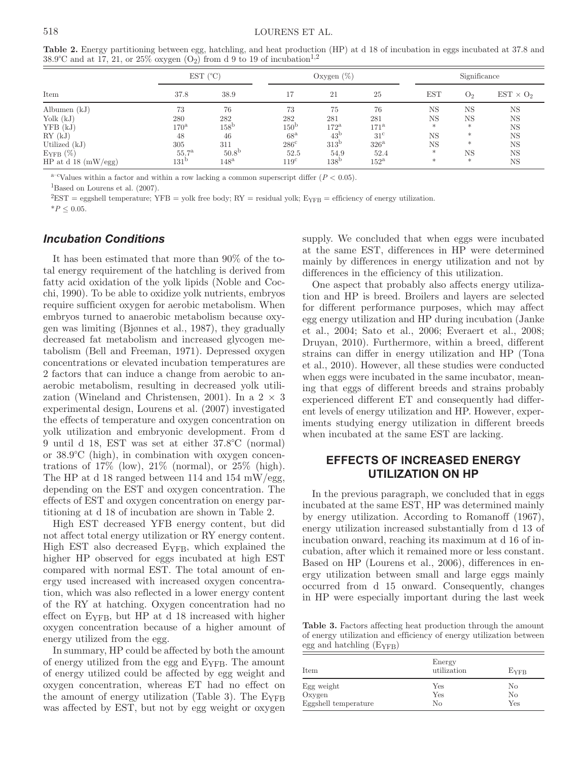**Table 2.** Energy partitioning between egg, hatchling, and heat production (HP) at d 18 of incubation in eggs incubated at 37.8 and 38.9°C and at 17, 21, or 25% oxygen  $(O_2)$  from d 9 to 19 of incubation<sup>1,2</sup>

|                       | $(^{\circ}C)$<br><b>EST</b> |               | Oxygen $(\%)$   |                  |                 | Significance |                |                  |
|-----------------------|-----------------------------|---------------|-----------------|------------------|-----------------|--------------|----------------|------------------|
| Item                  | 37.8                        | 38.9          |                 | 21               | 25              | <b>EST</b>   | O <sub>2</sub> | $EST \times O_2$ |
| Albumen $(kJ)$        | 73                          | 76            | 73              | 75               | 76              | <b>NS</b>    | NS             | <b>NS</b>        |
| Yolk $(kJ)$           | 280                         | 282           | 282             | 281              | 281             | NS           | <b>NS</b>      | <b>NS</b>        |
| YFB(kJ)               | $170^{\rm a}$               | $158^{\rm b}$ | $150^{\rm b}$   | $172^{\rm a}$    | $171^{\rm a}$   | $\ast$       | $\ast$         | <b>NS</b>        |
| RY(kJ)                | 48                          | 46            | 68 <sup>a</sup> | 43 <sup>b</sup>  | 31 <sup>c</sup> | <b>NS</b>    | $\ast$         | <b>NS</b>        |
| Utilized $(kJ)$       | 305                         | 311           | $286^{\circ}$   | 313 <sup>b</sup> | $326^{\rm a}$   | NS           | $\ast$         | <b>NS</b>        |
| $E_{YFB} (\%)$        | 55.7 <sup>a</sup>           | $50.8^{b}$    | 52.5            | 54.9             | 52.4            | $\ast$       | <b>NS</b>      | <b>NS</b>        |
| HP at $d$ 18 (mW/egg) | 131 <sup>b</sup>            | $148^{\rm a}$ | $119^{\circ}$   | 138 <sup>b</sup> | $152^{\rm a}$   | $\ast$       | $\ast$         | <b>NS</b>        |

 $a$ -cValues within a factor and within a row lacking a common superscript differ  $(P < 0.05)$ .

<sup>1</sup>Based on Lourens et al.  $(2007)$ .

 ${}^{2}EST =$  eggshell temperature; YFB = yolk free body; RY = residual yolk;  $E_{YFB} =$  efficiency of energy utilization.

 $*P < 0.05$ .

### *Incubation Conditions*

It has been estimated that more than 90% of the total energy requirement of the hatchling is derived from fatty acid oxidation of the yolk lipids (Noble and Cocchi, 1990). To be able to oxidize yolk nutrients, embryos require sufficient oxygen for aerobic metabolism. When embryos turned to anaerobic metabolism because oxygen was limiting (Bjønnes et al., 1987), they gradually decreased fat metabolism and increased glycogen metabolism (Bell and Freeman, 1971). Depressed oxygen concentrations or elevated incubation temperatures are 2 factors that can induce a change from aerobic to anaerobic metabolism, resulting in decreased yolk utilization (Wineland and Christensen, 2001). In a  $2 \times 3$ experimental design, Lourens et al. (2007) investigated the effects of temperature and oxygen concentration on yolk utilization and embryonic development. From d 9 until d 18, EST was set at either 37.8°C (normal) or 38.9°C (high), in combination with oxygen concentrations of  $17\%$  (low),  $21\%$  (normal), or  $25\%$  (high). The HP at d 18 ranged between 114 and 154 mW/egg, depending on the EST and oxygen concentration. The effects of EST and oxygen concentration on energy partitioning at d 18 of incubation are shown in Table 2.

High EST decreased YFB energy content, but did not affect total energy utilization or RY energy content. High EST also decreased EYFB, which explained the higher HP observed for eggs incubated at high EST compared with normal EST. The total amount of energy used increased with increased oxygen concentration, which was also reflected in a lower energy content of the RY at hatching. Oxygen concentration had no effect on EYFB, but HP at d 18 increased with higher oxygen concentration because of a higher amount of energy utilized from the egg.

In summary, HP could be affected by both the amount of energy utilized from the egg and EYFB. The amount of energy utilized could be affected by egg weight and oxygen concentration, whereas ET had no effect on the amount of energy utilization (Table 3). The  $E_{YFR}$ was affected by EST, but not by egg weight or oxygen supply. We concluded that when eggs were incubated at the same EST, differences in HP were determined mainly by differences in energy utilization and not by differences in the efficiency of this utilization.

One aspect that probably also affects energy utilization and HP is breed. Broilers and layers are selected for different performance purposes, which may affect egg energy utilization and HP during incubation (Janke et al., 2004; Sato et al., 2006; Everaert et al., 2008; Druyan, 2010). Furthermore, within a breed, different strains can differ in energy utilization and HP (Tona et al., 2010). However, all these studies were conducted when eggs were incubated in the same incubator, meaning that eggs of different breeds and strains probably experienced different ET and consequently had different levels of energy utilization and HP. However, experiments studying energy utilization in different breeds when incubated at the same EST are lacking.

# **EFFECTS OF INCREASED ENERGY UTILIZATION ON HP**

In the previous paragraph, we concluded that in eggs incubated at the same EST, HP was determined mainly by energy utilization. According to Romanoff (1967), energy utilization increased substantially from d 13 of incubation onward, reaching its maximum at d 16 of incubation, after which it remained more or less constant. Based on HP (Lourens et al., 2006), differences in energy utilization between small and large eggs mainly occurred from d 15 onward. Consequently, changes in HP were especially important during the last week

**Table 3.** Factors affecting heat production through the amount of energy utilization and efficiency of energy utilization between egg and hatchling (EYFB)

| Item                 | Energy<br>utilization | <b>E</b> YFR |
|----------------------|-----------------------|--------------|
| Egg weight           | Yes                   | No           |
| Oxygen               | Yes                   | No           |
| Eggshell temperature | No                    | Yes          |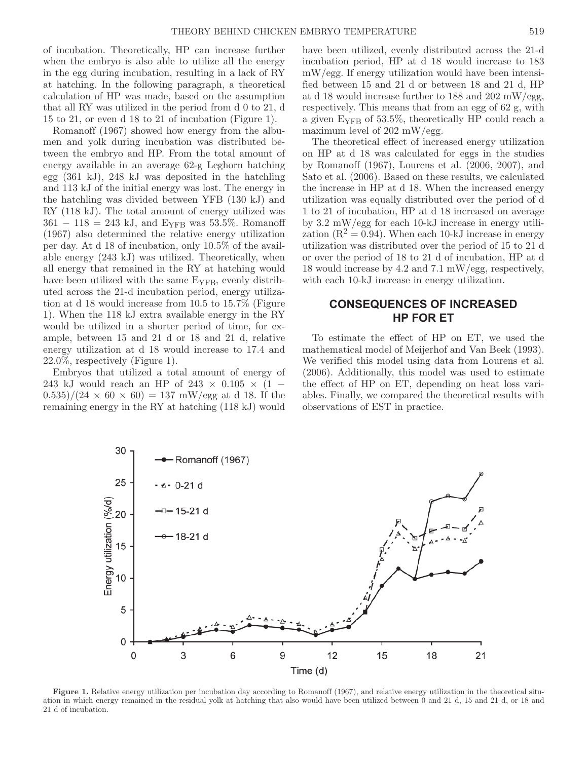of incubation. Theoretically, HP can increase further when the embryo is also able to utilize all the energy in the egg during incubation, resulting in a lack of RY at hatching. In the following paragraph, a theoretical calculation of HP was made, based on the assumption that all RY was utilized in the period from d 0 to 21, d 15 to 21, or even d 18 to 21 of incubation (Figure 1).

Romanoff (1967) showed how energy from the albumen and yolk during incubation was distributed between the embryo and HP. From the total amount of energy available in an average 62-g Leghorn hatching egg (361 kJ), 248 kJ was deposited in the hatchling and 113 kJ of the initial energy was lost. The energy in the hatchling was divided between YFB (130 kJ) and RY (118 kJ). The total amount of energy utilized was  $361 - 118 = 243$  kJ, and E<sub>YFB</sub> was 53.5%. Romanoff (1967) also determined the relative energy utilization per day. At d 18 of incubation, only 10.5% of the available energy (243 kJ) was utilized. Theoretically, when all energy that remained in the RY at hatching would have been utilized with the same  $E_{YFB}$ , evenly distributed across the 21-d incubation period, energy utilization at d 18 would increase from 10.5 to 15.7% (Figure 1). When the 118 kJ extra available energy in the RY would be utilized in a shorter period of time, for example, between 15 and 21 d or 18 and 21 d, relative energy utilization at d 18 would increase to 17.4 and 22.0%, respectively (Figure 1).

Embryos that utilized a total amount of energy of 243 kJ would reach an HP of 243  $\times$  0.105  $\times$  (1 –  $(0.535)/(24 \times 60 \times 60) = 137$  mW/egg at d 18. If the remaining energy in the RY at hatching (118 kJ) would

30

21 d of incubation.

have been utilized, evenly distributed across the 21-d incubation period, HP at d 18 would increase to 183 mW/egg. If energy utilization would have been intensified between 15 and 21 d or between 18 and 21 d, HP at d 18 would increase further to 188 and 202 mW/egg, respectively. This means that from an egg of 62 g, with a given EYFB of 53.5%, theoretically HP could reach a maximum level of 202 mW/egg.

The theoretical effect of increased energy utilization on HP at d 18 was calculated for eggs in the studies by Romanoff (1967), Lourens et al. (2006, 2007), and Sato et al. (2006). Based on these results, we calculated the increase in HP at d 18. When the increased energy utilization was equally distributed over the period of d 1 to 21 of incubation, HP at d 18 increased on average by 3.2 mW/egg for each 10-kJ increase in energy utilization  $(R^2 = 0.94)$ . When each 10-kJ increase in energy utilization was distributed over the period of 15 to 21 d or over the period of 18 to 21 d of incubation, HP at d 18 would increase by 4.2 and 7.1 mW/egg, respectively, with each 10-kJ increase in energy utilization.

## **CONSEQUENCES OF INCREASED HP FOR ET**

To estimate the effect of HP on ET, we used the mathematical model of Meijerhof and Van Beek (1993). We verified this model using data from Lourens et al. (2006). Additionally, this model was used to estimate the effect of HP on ET, depending on heat loss variables. Finally, we compared the theoretical results with observations of EST in practice.



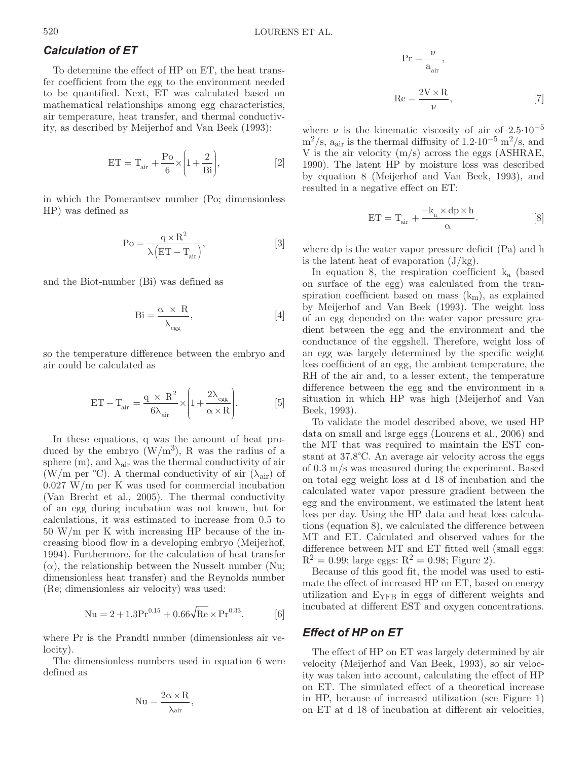# *Calculation of ET*

To determine the effect of HP on ET, the heat transfer coefficient from the egg to the environment needed to be quantified. Next, ET was calculated based on mathematical relationships among egg characteristics, air temperature, heat transfer, and thermal conductivity, as described by Meijerhof and Van Beek (1993):

$$
ET = T_{air} + \frac{P\alpha}{6} \times \left(1 + \frac{2}{Bi}\right), \tag{2}
$$

in which the Pomerantsev number (Po; dimensionless HP) was defined as

$$
Po = \frac{q \times R^2}{\lambda \left( ET - T_{air} \right)},
$$
 [3]

and the Biot-number (Bi) was defined as

$$
\mathrm{Bi} = \frac{\alpha \, \times \, \mathrm{R}}{\lambda_{\mathrm{egg}}}, \qquad \qquad [4]
$$

so the temperature difference between the embryo and air could be calculated as

$$
ET - T_{air} = \frac{q \times R^2}{6\lambda_{air}} \times \left(1 + \frac{2\lambda_{egg}}{\alpha \times R}\right).
$$
 [5]

In these equations, q was the amount of heat produced by the embryo  $(W/m^3)$ , R was the radius of a sphere (m), and  $\lambda_{\text{air}}$  was the thermal conductivity of air (W/m per  $\rm{°C}$ ). A thermal conductivity of air ( $\lambda_{\rm air}$ ) of 0.027 W/m per K was used for commercial incubation (Van Brecht et al., 2005). The thermal conductivity of an egg during incubation was not known, but for calculations, it was estimated to increase from 0.5 to 50 W/m per K with increasing HP because of the increasing blood flow in a developing embryo (Meijerhof, 1994). Furthermore, for the calculation of heat transfer  $(\alpha)$ , the relationship between the Nusselt number (Nu; dimensionless heat transfer) and the Reynolds number (Re; dimensionless air velocity) was used:

$$
Nu = 2 + 1.3Pr0.15 + 0.66\sqrt{Re} \times Pr0.33.
$$
 [6]

where Pr is the Prandtl number (dimensionless air velocity).

The dimensionless numbers used in equation 6 were defined as

$$
Nu=\frac{2\alpha\times R}{\lambda_{air}},
$$

$$
\Pr = \frac{\nu}{a_{air}},
$$
  

$$
\text{Re} = \frac{2V \times R}{\nu},
$$
 [7]

where  $\nu$  is the kinematic viscosity of air of 2.5·10<sup>-5</sup>  $\rm m^2/s$ , a<sub>air</sub> is the thermal diffusity of 1.2·10<sup>-5</sup> m<sup>2</sup>/s, and V is the air velocity (m/s) across the eggs (ASHRAE, 1990). The latent HP by moisture loss was described by equation 8 (Meijerhof and Van Beek, 1993), and resulted in a negative effect on ET:

$$
ET = T_{air} + \frac{-k_a \times dp \times h}{\alpha}.
$$
 [8]

where dp is the water vapor pressure deficit (Pa) and h is the latent heat of evaporation  $(J/kg)$ .

In equation 8, the respiration coefficient  $k_a$  (based on surface of the egg) was calculated from the transpiration coefficient based on mass  $(k_m)$ , as explained by Meijerhof and Van Beek (1993). The weight loss of an egg depended on the water vapor pressure gradient between the egg and the environment and the conductance of the eggshell. Therefore, weight loss of an egg was largely determined by the specific weight loss coefficient of an egg, the ambient temperature, the RH of the air and, to a lesser extent, the temperature difference between the egg and the environment in a situation in which HP was high (Meijerhof and Van Beek, 1993).

To validate the model described above, we used HP data on small and large eggs (Lourens et al., 2006) and the MT that was required to maintain the EST constant at 37.8°C. An average air velocity across the eggs of 0.3 m/s was measured during the experiment. Based on total egg weight loss at d 18 of incubation and the calculated water vapor pressure gradient between the egg and the environment, we estimated the latent heat loss per day. Using the HP data and heat loss calculations (equation 8), we calculated the difference between MT and ET. Calculated and observed values for the difference between MT and ET fitted well (small eggs:  $R^2 = 0.99$ ; large eggs:  $R^2 = 0.98$ ; Figure 2).

Because of this good fit, the model was used to estimate the effect of increased HP on ET, based on energy utilization and EYFB in eggs of different weights and incubated at different EST and oxygen concentrations.

#### *Effect of HP on ET*

The effect of HP on ET was largely determined by air velocity (Meijerhof and Van Beek, 1993), so air velocity was taken into account, calculating the effect of HP on ET. The simulated effect of a theoretical increase in HP, because of increased utilization (see Figure 1) on ET at d 18 of incubation at different air velocities,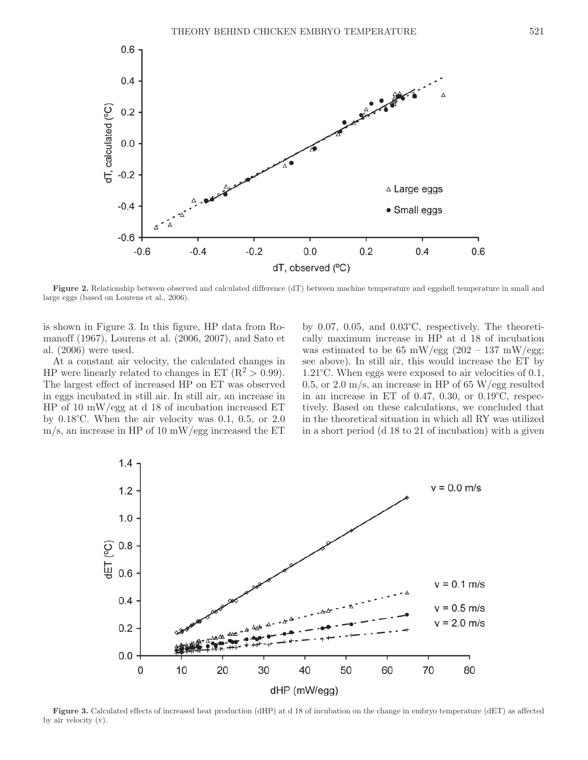

**Figure 2.** Relationship between observed and calculated difference (dT) between machine temperature and eggshell temperature in small and large eggs (based on Lourens et al., 2006).

is shown in Figure 3. In this figure, HP data from Romanoff (1967), Lourens et al. (2006, 2007), and Sato et al. (2006) were used.

At a constant air velocity, the calculated changes in HP were linearly related to changes in ET  $(R^2 > 0.99)$ . The largest effect of increased HP on ET was observed in eggs incubated in still air. In still air, an increase in HP of 10 mW/egg at d 18 of incubation increased ET by 0.18°C. When the air velocity was 0.1, 0.5, or 2.0 m/s, an increase in HP of 10 mW/egg increased the ET by 0.07, 0.05, and 0.03°C, respectively. The theoretically maximum increase in HP at d 18 of incubation was estimated to be 65 mW/egg  $(202 - 137 \text{ mW/egg})$ ; see above). In still air, this would increase the ET by 1.21°C. When eggs were exposed to air velocities of 0.1, 0.5, or 2.0 m/s, an increase in HP of 65 W/egg resulted in an increase in ET of 0.47, 0.30, or 0.19°C, respectively. Based on these calculations, we concluded that in the theoretical situation in which all RY was utilized in a short period (d 18 to 21 of incubation) with a given



**Figure 3.** Calculated effects of increased heat production (dHP) at d 18 of incubation on the change in embryo temperature (dET) as affected by air velocity (v).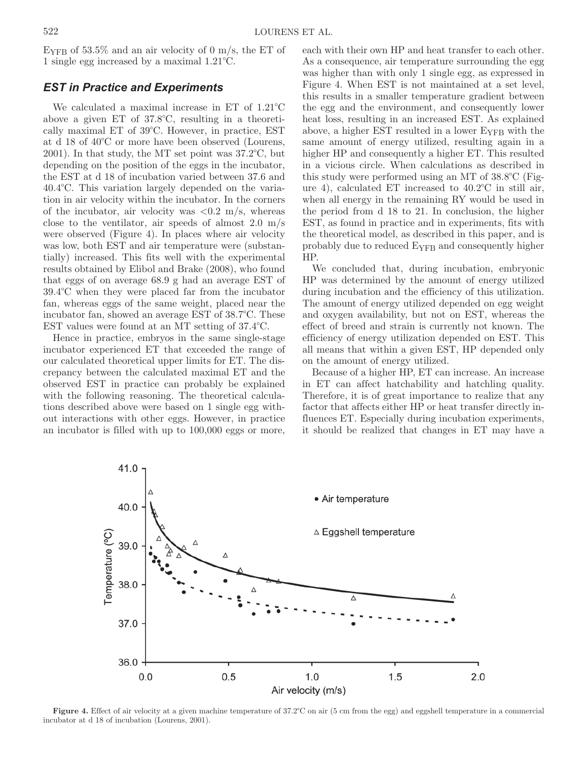E<sub>YFB</sub> of 53.5% and an air velocity of 0 m/s, the ET of 1 single egg increased by a maximal 1.21°C.

### *EST in Practice and Experiments*

We calculated a maximal increase in ET of 1.21°C above a given ET of 37.8°C, resulting in a theoretically maximal ET of 39°C. However, in practice, EST at d 18 of 40°C or more have been observed (Lourens, 2001). In that study, the MT set point was 37.2°C, but depending on the position of the eggs in the incubator, the EST at d 18 of incubation varied between 37.6 and 40.4°C. This variation largely depended on the variation in air velocity within the incubator. In the corners of the incubator, air velocity was  $\langle 0.2 \text{ m/s}, \text{whereas} \rangle$ close to the ventilator, air speeds of almost  $2.0 \text{ m/s}$ were observed (Figure 4). In places where air velocity was low, both EST and air temperature were (substantially) increased. This fits well with the experimental results obtained by Elibol and Brake (2008), who found that eggs of on average 68.9 g had an average EST of 39.4°C when they were placed far from the incubator fan, whereas eggs of the same weight, placed near the incubator fan, showed an average EST of 38.7°C. These EST values were found at an MT setting of 37.4°C.

Hence in practice, embryos in the same single-stage incubator experienced ET that exceeded the range of our calculated theoretical upper limits for ET. The discrepancy between the calculated maximal ET and the observed EST in practice can probably be explained with the following reasoning. The theoretical calculations described above were based on 1 single egg without interactions with other eggs. However, in practice an incubator is filled with up to 100,000 eggs or more, each with their own HP and heat transfer to each other. As a consequence, air temperature surrounding the egg was higher than with only 1 single egg, as expressed in Figure 4. When EST is not maintained at a set level, this results in a smaller temperature gradient between the egg and the environment, and consequently lower heat loss, resulting in an increased EST. As explained above, a higher EST resulted in a lower E<sub>YFB</sub> with the same amount of energy utilized, resulting again in a higher HP and consequently a higher ET. This resulted in a vicious circle. When calculations as described in this study were performed using an MT of 38.8°C (Figure 4), calculated ET increased to 40.2°C in still air, when all energy in the remaining RY would be used in the period from d 18 to 21. In conclusion, the higher EST, as found in practice and in experiments, fits with the theoretical model, as described in this paper, and is probably due to reduced EYFB and consequently higher HP.

We concluded that, during incubation, embryonic HP was determined by the amount of energy utilized during incubation and the efficiency of this utilization. The amount of energy utilized depended on egg weight and oxygen availability, but not on EST, whereas the effect of breed and strain is currently not known. The efficiency of energy utilization depended on EST. This all means that within a given EST, HP depended only on the amount of energy utilized.

Because of a higher HP, ET can increase. An increase in ET can affect hatchability and hatchling quality. Therefore, it is of great importance to realize that any factor that affects either HP or heat transfer directly influences ET. Especially during incubation experiments, it should be realized that changes in ET may have a



Figure 4. Effect of air velocity at a given machine temperature of 37.2°C on air (5 cm from the egg) and eggshell temperature in a commercial incubator at d 18 of incubation (Lourens, 2001).